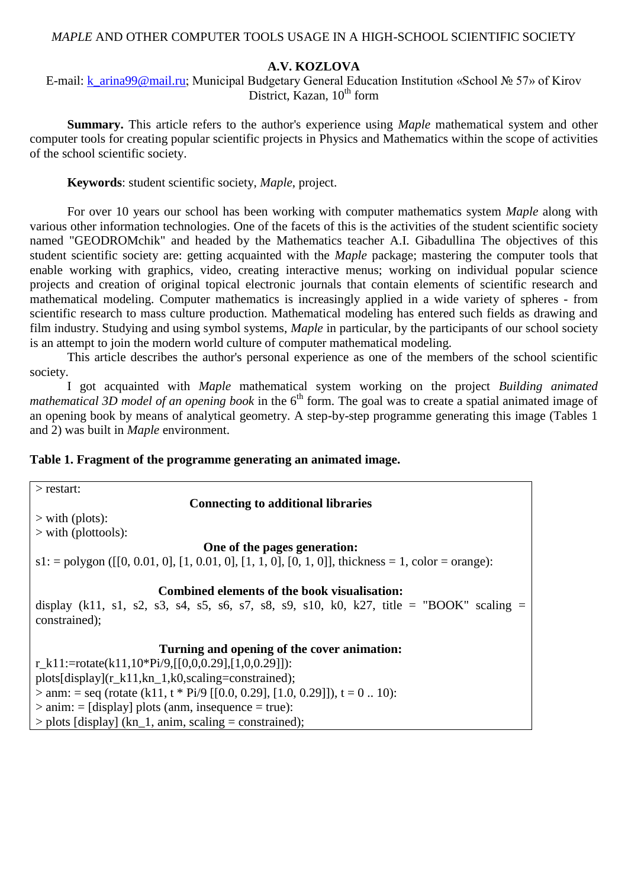## *MAPLE* AND OTHER COMPUTER TOOLS USAGE IN A HIGH-SCHOOL SCIENTIFIC SOCIETY

# **A.V. KOZLOVA**

E-mail: [k\\_arina99@mail.ru;](mailto:k_arina99@mail.ru) Municipal Budgetary General Education Institution «School № 57» of Kirov District, Kazan,  $10^{th}$  form

**Summary.** This article refers to the author's experience using *Maple* mathematical system and other computer tools for creating popular scientific projects in Physics and Mathematics within the scope of activities of the school scientific society.

**Keywords**: student scientific society, *Maple*, project.

For over 10 years our school has been working with computer mathematics system *Maple* along with various other information technologies. One of the facets of this is the activities of the student scientific society named "GEODROMchik" and headed by the Mathematics teacher A.I. Gibadullina The objectives of this student scientific society are: getting acquainted with the *Maple* package; mastering the computer tools that enable working with graphics, video, creating interactive menus; working on individual popular science projects and creation of original topical electronic journals that contain elements of scientific research and mathematical modeling. Computer mathematics is increasingly applied in a wide variety of spheres - from scientific research to mass culture production. Mathematical modeling has entered such fields as drawing and film industry. Studying and using symbol systems, *Maple* in particular, by the participants of our school society is an attempt to join the modern world culture of computer mathematical modeling.

This article describes the author's personal experience as one of the members of the school scientific society.

I got acquainted with *Maple* mathematical system working on the project *Building animated mathematical 3D model of an opening book* in the 6<sup>th</sup> form. The goal was to create a spatial animated image of an opening book by means of analytical geometry. A step-by-step programme generating this image (Tables 1 and 2) was built in *Maple* environment.

# **Table 1. Fragment of the programme generating an animated image.**

| $>$ restart:                                                                                          |  |  |
|-------------------------------------------------------------------------------------------------------|--|--|
| <b>Connecting to additional libraries</b>                                                             |  |  |
| $>$ with (plots):                                                                                     |  |  |
| $>$ with (plottools):                                                                                 |  |  |
| One of the pages generation:                                                                          |  |  |
| $s1$ : = polygon ([[0, 0.01, 0], [1, 0.01, 0], [1, 1, 0], [0, 1, 0]], thickness = 1, color = orange): |  |  |
|                                                                                                       |  |  |
| Combined elements of the book visualisation:                                                          |  |  |
| display (k11, s1, s2, s3, s4, s5, s6, s7, s8, s9, s10, k0, k27, title = "BOOK" scaling =              |  |  |
| constrained);                                                                                         |  |  |
|                                                                                                       |  |  |
| Turning and opening of the cover animation:                                                           |  |  |
| r_k11:=rotate(k11,10*Pi/9,[[0,0,0.29],[1,0,0.29]]):                                                   |  |  |
| $plots[display](r_k11, kn_1, k0, scaling=constrained);$                                               |  |  |
| $>$ anm: = seq (rotate (k11, t * Pi/9 [[0.0, 0.29], [1.0, 0.29]]), t = 0  10):                        |  |  |
| $\ge$ anim: = [display] plots (anm, insequence = true):                                               |  |  |
| $>$ plots [display] (kn_1, anim, scaling = constrained);                                              |  |  |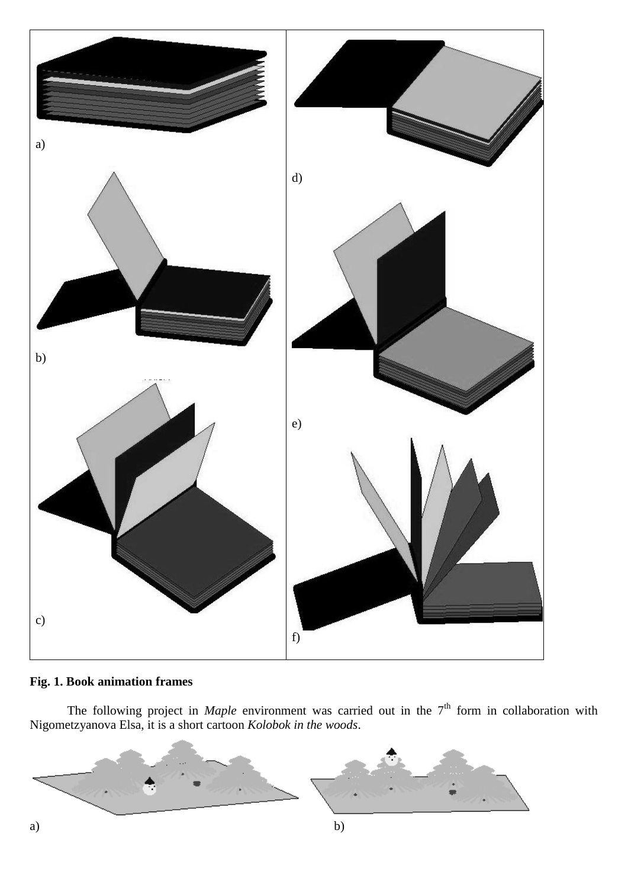

# **Fig. 1. Book animation frames**

The following project in *Maple* environment was carried out in the 7<sup>th</sup> form in collaboration with Nigometzyanova Elsa, it is a short cartoon *Kolobok in the woods*.

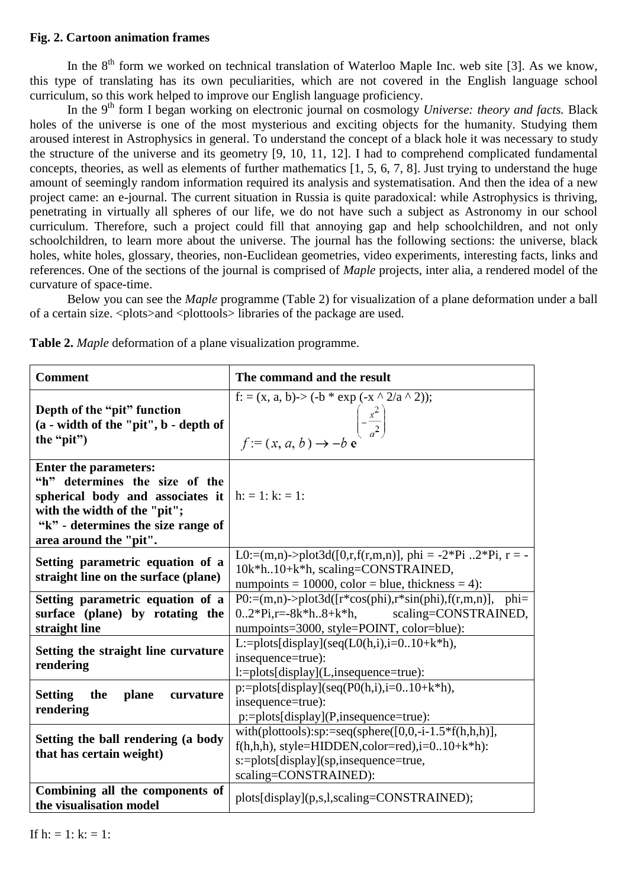## **Fig. 2. Cartoon animation frames**

In the  $8<sup>th</sup>$  form we worked on technical translation of Waterloo Maple Inc. web site [3]. As we know, this type of translating has its own peculiarities, which are not covered in the English language school curriculum, so this work helped to improve our English language proficiency.

In the 9<sup>th</sup> form I began working on electronic journal on cosmology *Universe: theory and facts*. Black holes of the universe is one of the most mysterious and exciting objects for the humanity. Studying them aroused interest in Astrophysics in general. To understand the concept of a black hole it was necessary to study the structure of the universe and its geometry [9, 10, 11, 12]. I had to comprehend complicated fundamental concepts, theories, as well as elements of further mathematics [1, 5, 6, 7, 8]. Just trying to understand the huge amount of seemingly random information required its analysis and systematisation. And then the idea of a new project came: an e-journal. The current situation in Russia is quite paradoxical: while Astrophysics is thriving, penetrating in virtually all spheres of our life, we do not have such a subject as Astronomy in our school curriculum. Therefore, such a project could fill that annoying gap and help schoolchildren, and not only schoolchildren, to learn more about the universe. The journal has the following sections: the universe, black holes, white holes, glossary, theories, non-Euclidean geometries, video experiments, interesting facts, links and references. One of the sections of the journal is comprised of *Maple* projects, inter alia, a rendered model of the curvature of space-time.

Below you can see the *Maple* programme (Table 2) for visualization of a plane deformation under a ball of a certain size. <plots>and <plottools> libraries of the package are used.

| <b>Comment</b>                                                                                                                                                                                                            | The command and the result                                                                                                                                                           |
|---------------------------------------------------------------------------------------------------------------------------------------------------------------------------------------------------------------------------|--------------------------------------------------------------------------------------------------------------------------------------------------------------------------------------|
| Depth of the "pit" function<br>(a - width of the "pit", b - depth of<br>the "pit")                                                                                                                                        | f: = (x, a, b)-> (-b * exp (-x ^ 2/a ^ 2));<br>$\begin{pmatrix} -\frac{x^2}{a^2} \\ -\frac{x^2}{a^2} \end{pmatrix}$                                                                  |
| <b>Enter the parameters:</b><br>"h" determines the size of the<br>spherical body and associates it $ h  := 1$ : $k = 1$ :<br>with the width of the "pit";<br>"k" - determines the size range of<br>area around the "pit". |                                                                                                                                                                                      |
| Setting parametric equation of a<br>straight line on the surface (plane)                                                                                                                                                  | L0:=(m,n)->plot3d([0,r,f(r,m,n)], phi = -2*Pi 2*Pi, r = -<br>10k*h10+k*h, scaling=CONSTRAINED,<br>numpoints = 10000, color = blue, thickness = 4):                                   |
| Setting parametric equation of a<br>surface (plane) by rotating the<br>straight line                                                                                                                                      | $P0:=(m,n)$ ->plot3d([r*cos(phi),r*sin(phi),f(r,m,n)],<br>$phi=$<br>scaling=CONSTRAINED,<br>$0.2*Pi,r=8k*h.8+k*h,$<br>numpoints=3000, style=POINT, color=blue):                      |
| Setting the straight line curvature<br>rendering                                                                                                                                                                          | L:=plots[display](seq(L0(h,i),i=010+k*h),<br>insequence=true):<br>l:=plots[display](L,insequence=true):                                                                              |
| plane<br><b>Setting</b><br>the<br>curvature<br>rendering                                                                                                                                                                  | p:=plots[display](seq(P0(h,i),i=010+k*h),<br>insequence=true):<br>$p:=plots[display](P,insequence=true):$                                                                            |
| Setting the ball rendering (a body<br>that has certain weight)                                                                                                                                                            | with(plottools):sp:=seq(sphere( $[0,0,-i-1.5*f(h,h,h)],$<br>$f(h,h,h)$ , style=HIDDEN, color=red), i=010+ $k*h$ ):<br>s:=plots[display](sp,insequence=true,<br>scaling=CONSTRAINED): |
| Combining all the components of<br>the visualisation model                                                                                                                                                                | plots[display](p,s,l,scaling=CONSTRAINED);                                                                                                                                           |

**Table 2.** *Maple* deformation of a plane visualization programme.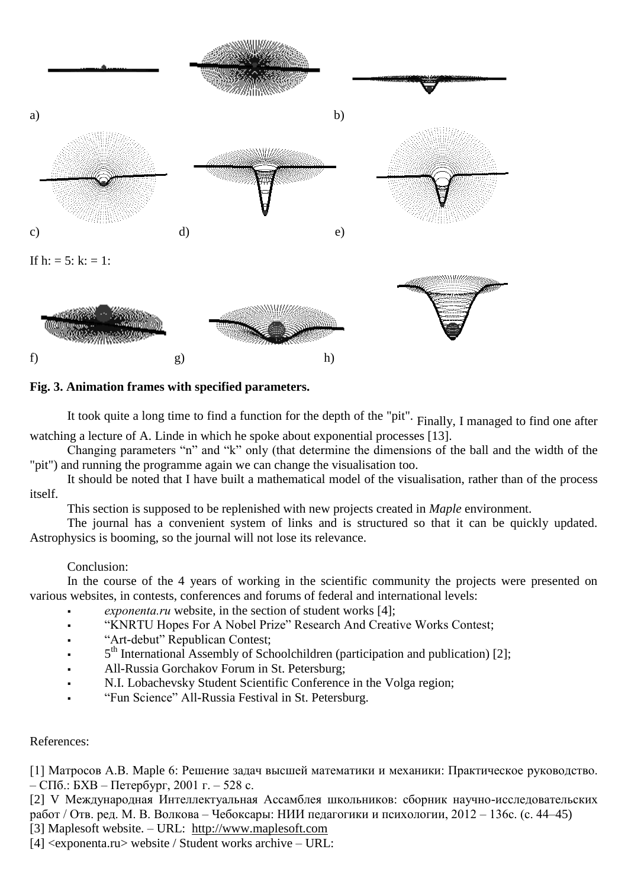

# **Fig. 3. Animation frames with specified parameters.**

It took quite a long time to find a function for the depth of the "pit". Finally, I managed to find one after watching a lecture of A. Linde in which he spoke about exponential processes [13].

Changing parameters "n" and "k" only (that determine the dimensions of the ball and the width of the "pit") and running the programme again we can change the visualisation too.

It should be noted that I have built a mathematical model of the visualisation, rather than of the process itself.

This section is supposed to be replenished with new projects created in *Maple* environment.

The journal has a convenient system of links and is structured so that it can be quickly updated. Astrophysics is booming, so the journal will not lose its relevance.

### Conclusion:

In the course of the 4 years of working in the scientific community the projects were presented on various websites, in contests, conferences and forums of federal and international levels:

- *exponenta.ru* website, in the section of student works [4];
- "KNRTU Hopes For A Nobel Prize" Research And Creative Works Contest;
- "Art-debut" Republican Contest;
- 5<sup>th</sup> International Assembly of Schoolchildren (participation and publication) [2];
- All-Russia Gorchakov Forum in St. Petersburg;
- N.I. Lobachevsky Student Scientific Conference in the Volga region;
- "Fun Science" All-Russia Festival in St. Petersburg.

### References:

[1] Матросов А.В. Maple 6: Решение задач высшей математики и механики: Практическое руководство. – СПб.: БХВ – Петербург, 2001 г. – 528 с.

[2] V Международная Интеллектуальная Ассамблея школьников: сборник научно-исследовательских работ / Отв. ред. М. В. Волкова – Чебоксары: НИИ педагогики и психологии, 2012 – 136с. (с. 44–45) [3] Maplesoft website. – URL: [http://www.maplesoft.com](http://www.maplesoft.com/)

[4] <exponenta.ru> website / Student works archive – URL: